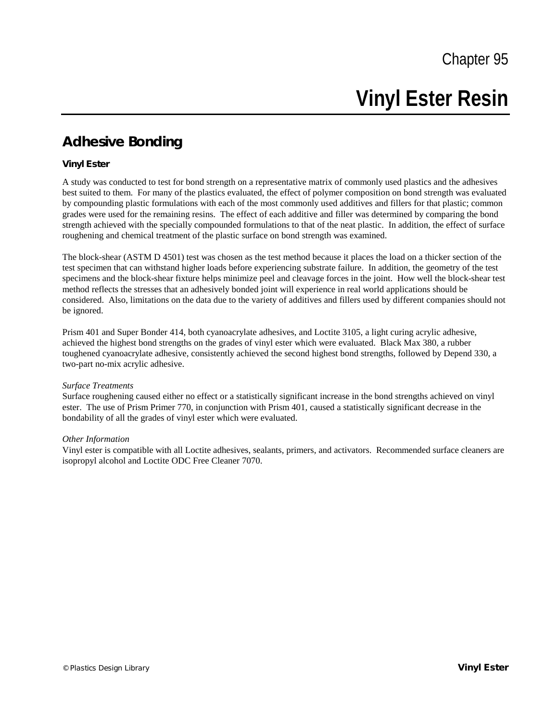# **Vinyl Ester Resin**

# **Adhesive Bonding**

## **Vinyl Ester**

A study was conducted to test for bond strength on a representative matrix of commonly used plastics and the adhesives best suited to them. For many of the plastics evaluated, the effect of polymer composition on bond strength was evaluated by compounding plastic formulations with each of the most commonly used additives and fillers for that plastic; common grades were used for the remaining resins. The effect of each additive and filler was determined by comparing the bond strength achieved with the specially compounded formulations to that of the neat plastic. In addition, the effect of surface roughening and chemical treatment of the plastic surface on bond strength was examined.

The block-shear (ASTM D 4501) test was chosen as the test method because it places the load on a thicker section of the test specimen that can withstand higher loads before experiencing substrate failure. In addition, the geometry of the test specimens and the block-shear fixture helps minimize peel and cleavage forces in the joint. How well the block-shear test method reflects the stresses that an adhesively bonded joint will experience in real world applications should be considered. Also, limitations on the data due to the variety of additives and fillers used by different companies should not be ignored.

Prism 401 and Super Bonder 414, both cyanoacrylate adhesives, and Loctite 3105, a light curing acrylic adhesive, achieved the highest bond strengths on the grades of vinyl ester which were evaluated. Black Max 380, a rubber toughened cyanoacrylate adhesive, consistently achieved the second highest bond strengths, followed by Depend 330, a two-part no-mix acrylic adhesive.

#### *Surface Treatments*

Surface roughening caused either no effect or a statistically significant increase in the bond strengths achieved on vinyl ester. The use of Prism Primer 770, in conjunction with Prism 401, caused a statistically significant decrease in the bondability of all the grades of vinyl ester which were evaluated.

#### *Other Information*

Vinyl ester is compatible with all Loctite adhesives, sealants, primers, and activators. Recommended surface cleaners are isopropyl alcohol and Loctite ODC Free Cleaner 7070.